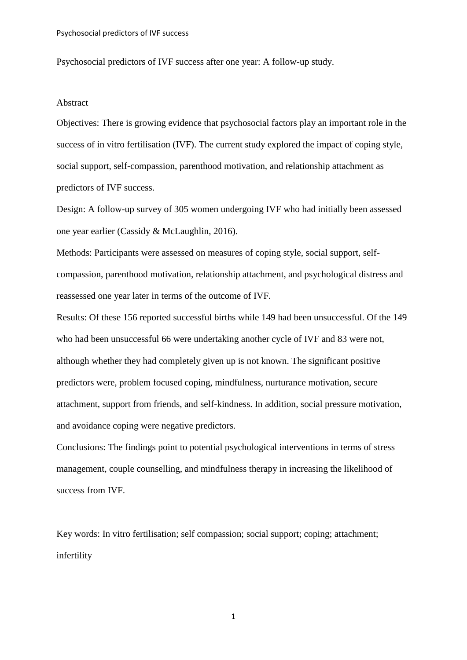Psychosocial predictors of IVF success after one year: A follow-up study.

#### Abstract

Objectives: There is growing evidence that psychosocial factors play an important role in the success of in vitro fertilisation (IVF). The current study explored the impact of coping style, social support, self-compassion, parenthood motivation, and relationship attachment as predictors of IVF success.

Design: A follow-up survey of 305 women undergoing IVF who had initially been assessed one year earlier (Cassidy & McLaughlin, 2016).

Methods: Participants were assessed on measures of coping style, social support, selfcompassion, parenthood motivation, relationship attachment, and psychological distress and reassessed one year later in terms of the outcome of IVF.

Results: Of these 156 reported successful births while 149 had been unsuccessful. Of the 149 who had been unsuccessful 66 were undertaking another cycle of IVF and 83 were not, although whether they had completely given up is not known. The significant positive predictors were, problem focused coping, mindfulness, nurturance motivation, secure attachment, support from friends, and self-kindness. In addition, social pressure motivation, and avoidance coping were negative predictors.

Conclusions: The findings point to potential psychological interventions in terms of stress management, couple counselling, and mindfulness therapy in increasing the likelihood of success from IVF.

Key words: In vitro fertilisation; self compassion; social support; coping; attachment; infertility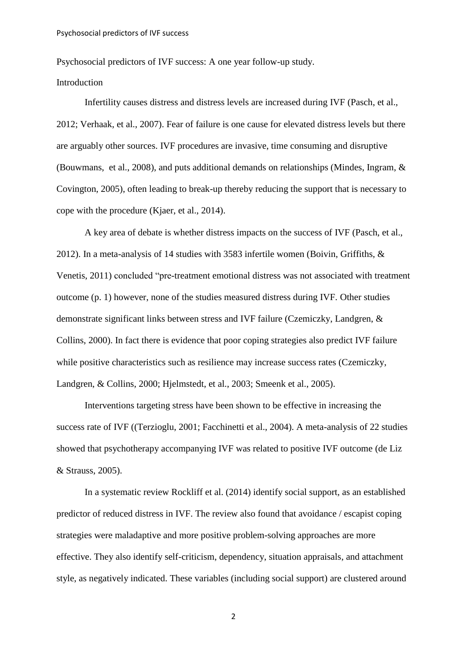Psychosocial predictors of IVF success: A one year follow-up study.

## Introduction

Infertility causes distress and distress levels are increased during IVF (Pasch, et al., 2012; Verhaak, et al., 2007). Fear of failure is one cause for elevated distress levels but there are arguably other sources. IVF procedures are invasive, time consuming and disruptive [\(Bouwmans,](http://www.ncbi.nlm.nih.gov/pubmed/?term=Bouwmans%20CA%5BAuthor%5D&cauthor=true&cauthor_uid=18951267) et al., 2008), and puts additional demands on relationships (Mindes, Ingram, & Covington, 2005), often leading to break-up thereby reducing the support that is necessary to cope with the procedure (Kjaer, et al., 2014).

A key area of debate is whether distress impacts on the success of IVF (Pasch, et al., 2012). In a meta-analysis of 14 studies with 3583 infertile women (Boivin, Griffiths, & Venetis, 2011) concluded "pre-treatment emotional distress was not associated with treatment outcome (p. 1) however, none of the studies measured distress during IVF. Other studies demonstrate significant links between stress and IVF failure (Czemiczky, Landgren, & Collins, 2000). In fact there is evidence that poor coping strategies also predict IVF failure while positive characteristics such as resilience may increase success rates (Czemiczky, Landgren, & Collins, 2000; Hjelmstedt, et al., 2003; Smeenk et al., 2005).

Interventions targeting stress have been shown to be effective in increasing the success rate of IVF ((Terzioglu, 2001; Facchinetti et al., 2004). A meta-analysis of 22 studies showed that psychotherapy accompanying IVF was related to positive IVF outcome (de Liz & Strauss, 2005).

In a systematic review Rockliff et al. (2014) identify social support, as an established predictor of reduced distress in IVF. The review also found that avoidance / escapist coping strategies were maladaptive and more positive problem-solving approaches are more effective. They also identify self-criticism, dependency, situation appraisals, and attachment style, as negatively indicated. These variables (including social support) are clustered around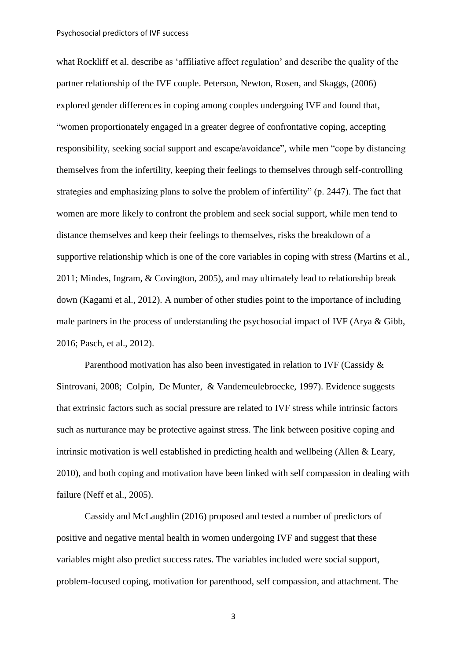#### Psychosocial predictors of IVF success

what Rockliff et al. describe as 'affiliative affect regulation' and describe the quality of the partner relationship of the IVF couple. Peterson, Newton, Rosen, and Skaggs, (2006) explored gender differences in coping among couples undergoing IVF and found that, "women proportionately engaged in a greater degree of confrontative coping, accepting responsibility, seeking social support and escape/avoidance", while men "cope by distancing themselves from the infertility, keeping their feelings to themselves through self-controlling strategies and emphasizing plans to solve the problem of infertility" (p. 2447). The fact that women are more likely to confront the problem and seek social support, while men tend to distance themselves and keep their feelings to themselves, risks the breakdown of a supportive relationship which is one of the core variables in coping with stress (Martins et al., 2011; Mindes, Ingram, & Covington, 2005), and may ultimately lead to relationship break down (Kagami et al., 2012). A number of other studies point to the importance of including male partners in the process of understanding the psychosocial impact of IVF (Arya & Gibb, 2016; Pasch, et al., 2012).

Parenthood motivation has also been investigated in relation to IVF (Cassidy & Sintrovani, 2008; Colpin, De Munter, & Vandemeulebroecke, 1997). Evidence suggests that extrinsic factors such as social pressure are related to IVF stress while intrinsic factors such as nurturance may be protective against stress. The link between positive coping and intrinsic motivation is well established in predicting health and wellbeing (Allen & Leary, 2010), and both coping and motivation have been linked with self compassion in dealing with failure (Neff et al., 2005).

Cassidy and McLaughlin (2016) proposed and tested a number of predictors of positive and negative mental health in women undergoing IVF and suggest that these variables might also predict success rates. The variables included were social support, problem-focused coping, motivation for parenthood, self compassion, and attachment. The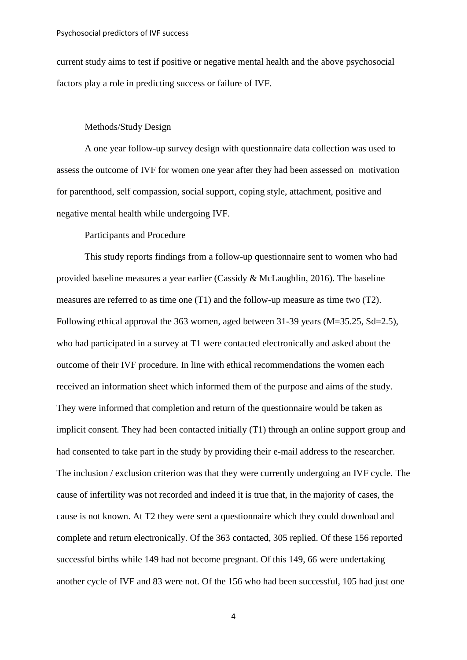current study aims to test if positive or negative mental health and the above psychosocial factors play a role in predicting success or failure of IVF.

## Methods/Study Design

A one year follow-up survey design with questionnaire data collection was used to assess the outcome of IVF for women one year after they had been assessed on motivation for parenthood, self compassion, social support, coping style, attachment, positive and negative mental health while undergoing IVF.

Participants and Procedure

This study reports findings from a follow-up questionnaire sent to women who had provided baseline measures a year earlier (Cassidy & McLaughlin, 2016). The baseline measures are referred to as time one (T1) and the follow-up measure as time two (T2). Following ethical approval the 363 women, aged between 31-39 years (M=35.25, Sd=2.5), who had participated in a survey at T1 were contacted electronically and asked about the outcome of their IVF procedure. In line with ethical recommendations the women each received an information sheet which informed them of the purpose and aims of the study. They were informed that completion and return of the questionnaire would be taken as implicit consent. They had been contacted initially (T1) through an online support group and had consented to take part in the study by providing their e-mail address to the researcher. The inclusion / exclusion criterion was that they were currently undergoing an IVF cycle. The cause of infertility was not recorded and indeed it is true that, in the majority of cases, the cause is not known. At T2 they were sent a questionnaire which they could download and complete and return electronically. Of the 363 contacted, 305 replied. Of these 156 reported successful births while 149 had not become pregnant. Of this 149, 66 were undertaking another cycle of IVF and 83 were not. Of the 156 who had been successful, 105 had just one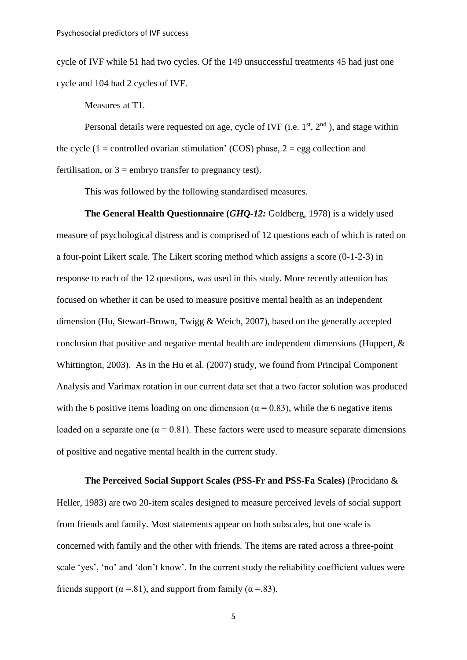cycle of IVF while 51 had two cycles. Of the 149 unsuccessful treatments 45 had just one cycle and 104 had 2 cycles of IVF.

Measures at T1.

Personal details were requested on age, cycle of IVF (i.e.  $1<sup>st</sup>$ ,  $2<sup>nd</sup>$ ), and stage within the cycle (1 = controlled ovarian stimulation' (COS) phase,  $2 =$  egg collection and fertilisation, or  $3 =$  embryo transfer to pregnancy test).

This was followed by the following standardised measures.

**The General Health Questionnaire (***GHQ-12:* **Goldberg, 1978) is a widely used** measure of psychological distress and is comprised of 12 questions each of which is rated on a four-point Likert scale. The Likert scoring method which assigns a score (0-1-2-3) in response to each of the 12 questions, was used in this study. More recently attention has focused on whether it can be used to measure positive mental health as an independent dimension (Hu, Stewart-Brown, Twigg & Weich, 2007), based on the generally accepted conclusion that positive and negative mental health are independent dimensions (Huppert, & Whittington, 2003). As in the Hu et al. (2007) study, we found from Principal Component Analysis and Varimax rotation in our current data set that a two factor solution was produced with the 6 positive items loading on one dimension ( $\alpha$  = 0.83), while the 6 negative items loaded on a separate one ( $\alpha$  = 0.81). These factors were used to measure separate dimensions of positive and negative mental health in the current study.

**The Perceived Social Support Scales (PSS-Fr and PSS-Fa Scales)** (Procidano & Heller, 1983) are two 20-item scales designed to measure perceived levels of social support from friends and family. Most statements appear on both subscales, but one scale is concerned with family and the other with friends*.* The items are rated across a three-point scale 'yes', 'no' and 'don't know'. In the current study the reliability coefficient values were friends support ( $\alpha$  =.81), and support from family ( $\alpha$  =.83).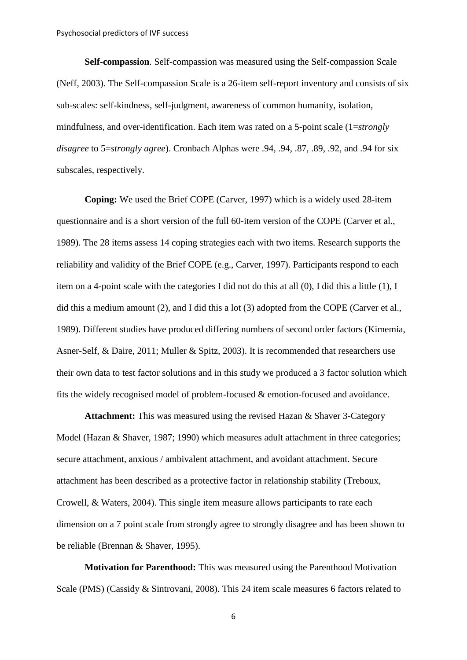**Self-compassion***.* Self-compassion was measured using the Self-compassion Scale (Neff, 2003). The Self-compassion Scale is a 26-item self-report inventory and consists of six sub-scales: self-kindness, self-judgment, awareness of common humanity, isolation, mindfulness, and over-identification. Each item was rated on a 5-point scale (1=*strongly disagree* to 5=*strongly agree*). Cronbach Alphas were .94, .94, .87, .89, .92, and .94 for six subscales, respectively.

**Coping:** We used the Brief COPE (Carver, [1997\)](http://www.tandfonline.com/doi/full/10.1080/10615806.2011.562977#CIT0013) which is a widely used 28-item questionnaire and is a short version of the full 60-item version of the COPE (Carver et al., 1989). The 28 items assess 14 coping strategies each with two items. Research supports the reliability and validity of the Brief COPE (e.g., Carver, [1997\)](http://www.tandfonline.com/doi/full/10.1080/10615806.2011.562977#CIT0013). Participants respond to each item on a 4-point scale with the categories I did not do this at all (0), I did this a little (1), I did this a medium amount (2), and I did this a lot (3) adopted from the COPE (Carver et al., 1989). Different studies have produced differing numbers of second order factors (Kimemia, Asner-Self, & Daire, 2011; Muller & Spitz, 2003). It is recommended that researchers use their own data to test factor solutions and in this study we produced a 3 factor solution which fits the widely recognised model of problem-focused & emotion-focused and avoidance.

**Attachment:** This was measured using the revised Hazan & Shaver 3-Category Model (Hazan & Shaver, 1987; 1990) which measures adult attachment in three categories; secure attachment, anxious / ambivalent attachment, and avoidant attachment. Secure attachment has been described as a protective factor in relationship stability (Treboux, Crowell, & Waters, 2004). This single item measure allows participants to rate each dimension on a 7 point scale from strongly agree to strongly disagree and has been shown to be reliable (Brennan & Shaver, 1995).

**Motivation for Parenthood:** This was measured using the Parenthood Motivation Scale (PMS) (Cassidy & Sintrovani, 2008). This 24 item scale measures 6 factors related to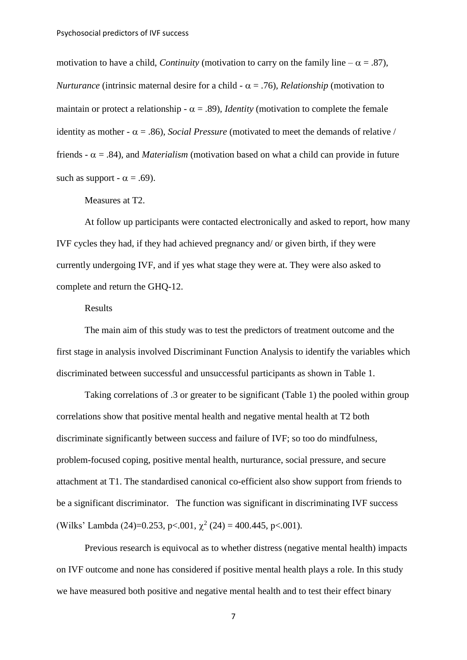motivation to have a child, *Continuity* (motivation to carry on the family line  $-\alpha = .87$ ), *Nurturance* (intrinsic maternal desire for a child -  $\alpha$  = .76)*, Relationship* (motivation to maintain or protect a relationship -  $\alpha = .89$ ), *Identity* (motivation to complete the female identity as mother -  $\alpha$  = .86)*, Social Pressure* (motivated to meet the demands of relative / friends -  $\alpha$  = .84), and *Materialism* (motivation based on what a child can provide in future such as support -  $\alpha$  = .69).

Measures at T2.

At follow up participants were contacted electronically and asked to report, how many IVF cycles they had, if they had achieved pregnancy and/ or given birth, if they were currently undergoing IVF, and if yes what stage they were at. They were also asked to complete and return the GHQ-12.

# Results

The main aim of this study was to test the predictors of treatment outcome and the first stage in analysis involved Discriminant Function Analysis to identify the variables which discriminated between successful and unsuccessful participants as shown in Table 1.

Taking correlations of .3 or greater to be significant (Table 1) the pooled within group correlations show that positive mental health and negative mental health at T2 both discriminate significantly between success and failure of IVF; so too do mindfulness, problem-focused coping, positive mental health, nurturance, social pressure, and secure attachment at T1. The standardised canonical co-efficient also show support from friends to be a significant discriminator. The function was significant in discriminating IVF success (Wilks' Lambda (24)=0.253, p<.001,  $\chi^2$  (24) = 400.445, p<.001).

Previous research is equivocal as to whether distress (negative mental health) impacts on IVF outcome and none has considered if positive mental health plays a role. In this study we have measured both positive and negative mental health and to test their effect binary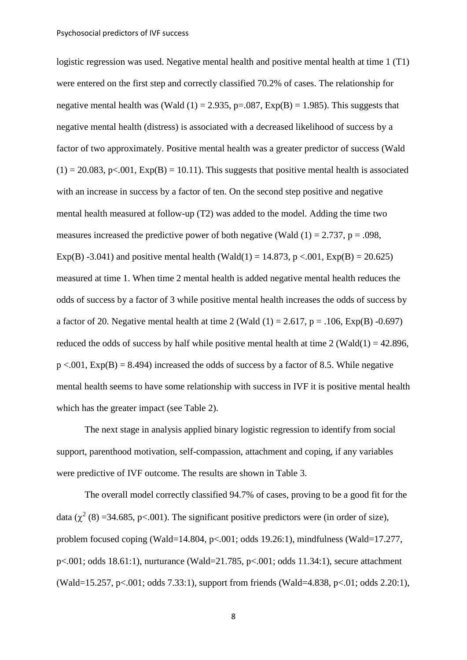logistic regression was used. Negative mental health and positive mental health at time 1 (T1) were entered on the first step and correctly classified 70.2% of cases. The relationship for negative mental health was (Wald  $(1) = 2.935$ , p=.087, Exp(B) = 1.985). This suggests that negative mental health (distress) is associated with a decreased likelihood of success by a factor of two approximately. Positive mental health was a greater predictor of success (Wald  $(1) = 20.083$ , p<.001, Exp(B) = 10.11). This suggests that positive mental health is associated with an increase in success by a factor of ten. On the second step positive and negative mental health measured at follow-up (T2) was added to the model. Adding the time two measures increased the predictive power of both negative (Wald  $(1) = 2.737$ ,  $p = .098$ , Exp(B) -3.041) and positive mental health (Wald(1) = 14.873, p <.001,  $Exp(B) = 20.625$ ) measured at time 1. When time 2 mental health is added negative mental health reduces the odds of success by a factor of 3 while positive mental health increases the odds of success by a factor of 20. Negative mental health at time 2 (Wald  $(1) = 2.617$ , p = .106, Exp(B) -0.697) reduced the odds of success by half while positive mental health at time  $2$  (Wald(1) = 42.896,  $p \le 0.001$ ,  $Exp(B) = 8.494$ ) increased the odds of success by a factor of 8.5. While negative mental health seems to have some relationship with success in IVF it is positive mental health which has the greater impact (see Table 2).

The next stage in analysis applied binary logistic regression to identify from social support, parenthood motivation, self-compassion, attachment and coping, if any variables were predictive of IVF outcome. The results are shown in Table 3.

The overall model correctly classified 94.7% of cases, proving to be a good fit for the data ( $\chi^2$  (8) =34.685, p<.001). The significant positive predictors were (in order of size), problem focused coping (Wald=14.804, p<.001; odds 19.26:1), mindfulness (Wald=17.277, p<.001; odds 18.61:1), nurturance (Wald=21.785, p<.001; odds 11.34:1), secure attachment (Wald=15.257, p<.001; odds 7.33:1), support from friends (Wald=4.838, p<.01; odds 2.20:1),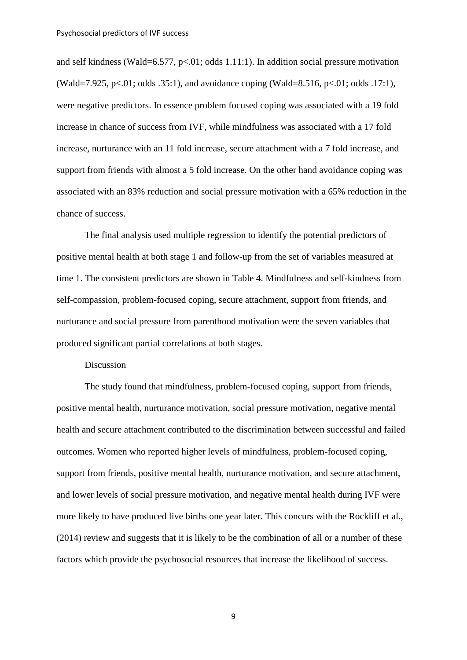and self kindness (Wald=6.577, p<.01; odds 1.11:1). In addition social pressure motivation (Wald=7.925, p<.01; odds .35:1), and avoidance coping (Wald=8.516, p<.01; odds .17:1). were negative predictors. In essence problem focused coping was associated with a 19 fold increase in chance of success from IVF, while mindfulness was associated with a 17 fold increase, nurturance with an 11 fold increase, secure attachment with a 7 fold increase, and support from friends with almost a 5 fold increase. On the other hand avoidance coping was associated with an 83% reduction and social pressure motivation with a 65% reduction in the chance of success.

The final analysis used multiple regression to identify the potential predictors of positive mental health at both stage 1 and follow-up from the set of variables measured at time 1. The consistent predictors are shown in Table 4. Mindfulness and self-kindness from self-compassion, problem-focused coping, secure attachment, support from friends, and nurturance and social pressure from parenthood motivation were the seven variables that produced significant partial correlations at both stages.

## Discussion

The study found that mindfulness, problem-focused coping, support from friends, positive mental health, nurturance motivation, social pressure motivation, negative mental health and secure attachment contributed to the discrimination between successful and failed outcomes. Women who reported higher levels of mindfulness, problem-focused coping, support from friends, positive mental health, nurturance motivation, and secure attachment, and lower levels of social pressure motivation, and negative mental health during IVF were more likely to have produced live births one year later. This concurs with the Rockliff et al., (2014) review and suggests that it is likely to be the combination of all or a number of these factors which provide the psychosocial resources that increase the likelihood of success.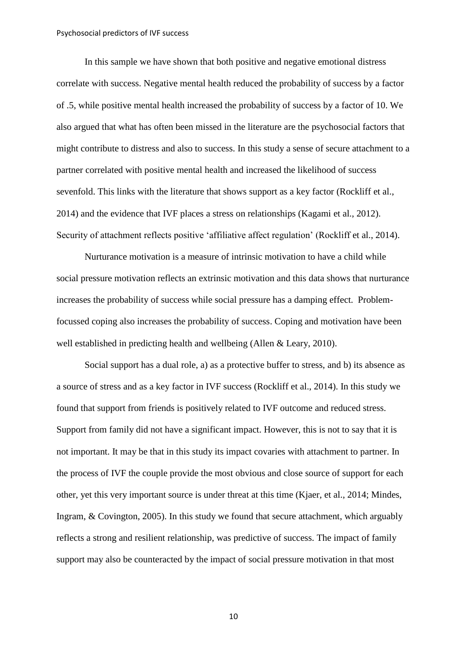In this sample we have shown that both positive and negative emotional distress correlate with success. Negative mental health reduced the probability of success by a factor of .5, while positive mental health increased the probability of success by a factor of 10. We also argued that what has often been missed in the literature are the psychosocial factors that might contribute to distress and also to success. In this study a sense of secure attachment to a partner correlated with positive mental health and increased the likelihood of success sevenfold. This links with the literature that shows support as a key factor (Rockliff et al., 2014) and the evidence that IVF places a stress on relationships (Kagami et al., 2012). Security of attachment reflects positive 'affiliative affect regulation' (Rockliff et al., 2014).

Nurturance motivation is a measure of intrinsic motivation to have a child while social pressure motivation reflects an extrinsic motivation and this data shows that nurturance increases the probability of success while social pressure has a damping effect. Problemfocussed coping also increases the probability of success. Coping and motivation have been well established in predicting health and wellbeing (Allen & Leary, 2010).

Social support has a dual role, a) as a protective buffer to stress, and b) its absence as a source of stress and as a key factor in IVF success (Rockliff et al., 2014). In this study we found that support from friends is positively related to IVF outcome and reduced stress. Support from family did not have a significant impact. However, this is not to say that it is not important. It may be that in this study its impact covaries with attachment to partner. In the process of IVF the couple provide the most obvious and close source of support for each other, yet this very important source is under threat at this time (Kjaer, et al., 2014; Mindes, Ingram, & Covington, 2005). In this study we found that secure attachment, which arguably reflects a strong and resilient relationship, was predictive of success. The impact of family support may also be counteracted by the impact of social pressure motivation in that most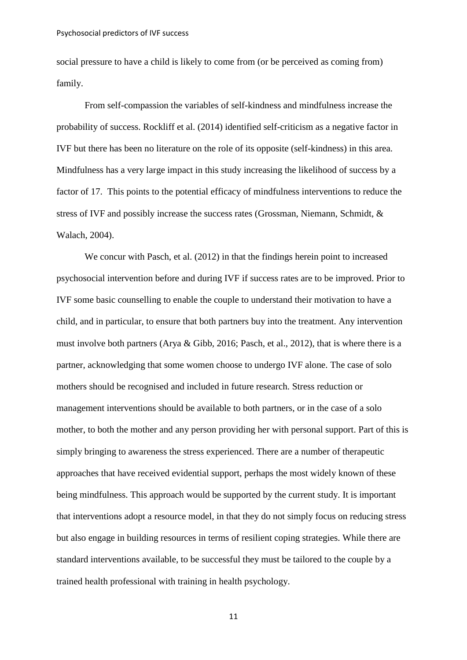social pressure to have a child is likely to come from (or be perceived as coming from) family.

From self-compassion the variables of self-kindness and mindfulness increase the probability of success. Rockliff et al. (2014) identified self-criticism as a negative factor in IVF but there has been no literature on the role of its opposite (self-kindness) in this area. Mindfulness has a very large impact in this study increasing the likelihood of success by a factor of 17. This points to the potential efficacy of mindfulness interventions to reduce the stress of IVF and possibly increase the success rates (Grossman, Niemann, Schmidt, & Walach, 2004).

We concur with Pasch, et al. (2012) in that the findings herein point to increased psychosocial intervention before and during IVF if success rates are to be improved. Prior to IVF some basic counselling to enable the couple to understand their motivation to have a child, and in particular, to ensure that both partners buy into the treatment. Any intervention must involve both partners (Arya & Gibb, 2016; Pasch, et al., 2012), that is where there is a partner, acknowledging that some women choose to undergo IVF alone. The case of solo mothers should be recognised and included in future research. Stress reduction or management interventions should be available to both partners, or in the case of a solo mother, to both the mother and any person providing her with personal support. Part of this is simply bringing to awareness the stress experienced. There are a number of therapeutic approaches that have received evidential support, perhaps the most widely known of these being mindfulness. This approach would be supported by the current study. It is important that interventions adopt a resource model, in that they do not simply focus on reducing stress but also engage in building resources in terms of resilient coping strategies. While there are standard interventions available, to be successful they must be tailored to the couple by a trained health professional with training in health psychology.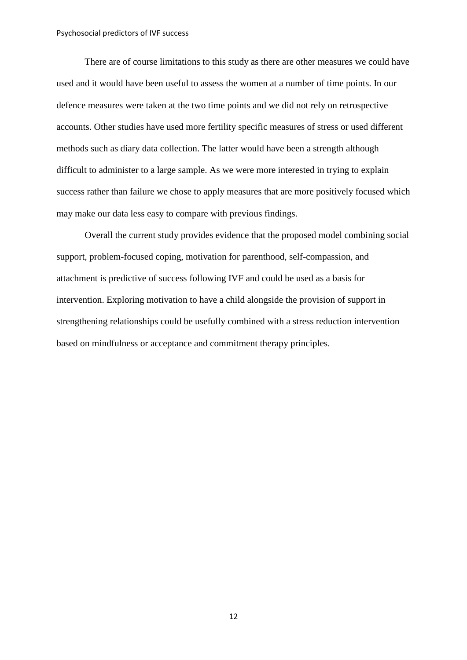There are of course limitations to this study as there are other measures we could have used and it would have been useful to assess the women at a number of time points. In our defence measures were taken at the two time points and we did not rely on retrospective accounts. Other studies have used more fertility specific measures of stress or used different methods such as diary data collection. The latter would have been a strength although difficult to administer to a large sample. As we were more interested in trying to explain success rather than failure we chose to apply measures that are more positively focused which may make our data less easy to compare with previous findings.

Overall the current study provides evidence that the proposed model combining social support, problem-focused coping, motivation for parenthood, self-compassion, and attachment is predictive of success following IVF and could be used as a basis for intervention. Exploring motivation to have a child alongside the provision of support in strengthening relationships could be usefully combined with a stress reduction intervention based on mindfulness or acceptance and commitment therapy principles.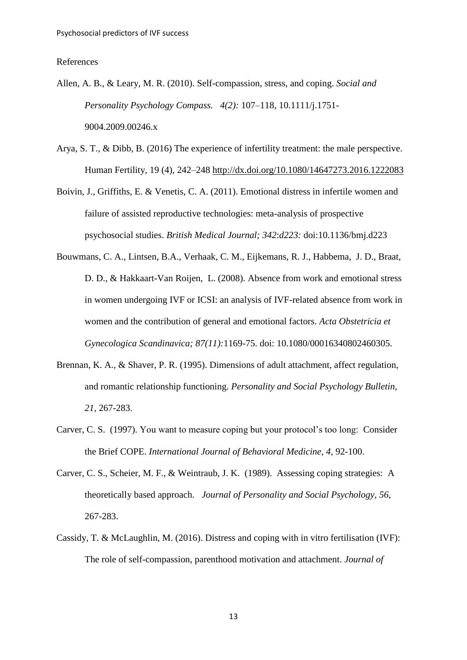#### References

- Allen, A. B., & Leary, M. R. (2010). Self-compassion, stress, and coping. *Social and Personality Psychology Compass. 4(2):* 107–118, 10.1111/j.1751- 9004.2009.00246.x
- Arya, S. T., & Dibb, B. (2016) The experience of infertility treatment: the male perspective. Human Fertility, 19 (4), 242–248<http://dx.doi.org/10.1080/14647273.2016.1222083>
- Boivin, J., Griffiths, E. & Venetis, C. A. (2011). Emotional distress in infertile women and failure of assisted reproductive technologies: meta-analysis of prospective psychosocial studies. *British Medical Journal; 342*:*d223:* doi:10.1136/bmj.d223
- [Bouwmans, C. A.](http://www.ncbi.nlm.nih.gov/pubmed/?term=Bouwmans%20CA%5BAuthor%5D&cauthor=true&cauthor_uid=18951267), [Lintsen, B.A.](http://www.ncbi.nlm.nih.gov/pubmed/?term=Lintsen%20BA%5BAuthor%5D&cauthor=true&cauthor_uid=18951267), [Verhaak, C.](http://www.ncbi.nlm.nih.gov/pubmed/?term=Verhaak%20CM%5BAuthor%5D&cauthor=true&cauthor_uid=18951267) M., [Eijkemans, R. J.](http://www.ncbi.nlm.nih.gov/pubmed/?term=Eijkemans%20RJ%5BAuthor%5D&cauthor=true&cauthor_uid=18951267), [Habbema, J. D.](http://www.ncbi.nlm.nih.gov/pubmed/?term=Habbema%20JD%5BAuthor%5D&cauthor=true&cauthor_uid=18951267), [Braat,](http://www.ncbi.nlm.nih.gov/pubmed/?term=Braat%20DD%5BAuthor%5D&cauthor=true&cauthor_uid=18951267)  [D. D.](http://www.ncbi.nlm.nih.gov/pubmed/?term=Braat%20DD%5BAuthor%5D&cauthor=true&cauthor_uid=18951267), & [Hakkaart-Van Roijen, L.](http://www.ncbi.nlm.nih.gov/pubmed/?term=Hakkaart-Van%20Roijen%20L%5BAuthor%5D&cauthor=true&cauthor_uid=18951267) (2008). Absence from work and emotional stress in women undergoing IVF or ICSI: an analysis of IVF-related absence from work in women and the contribution of general and emotional factors. *Acta Obstetricia et Gynecologica Scandinavica; 87(11):*1169-75. doi: 10.1080/00016340802460305.
- Brennan, K. A., & Shaver, P. R. (1995). Dimensions of adult attachment, affect regulation, and romantic relationship functioning. *Personality and Social Psychology Bulletin, 21,* 267-283.
- Carver, C. S. (1997). You want to measure coping but your protocol's too long: Consider the Brief COPE. *International Journal of Behavioral Medicine*, *4,* 92-100.
- Carver, C. S., Scheier, M. F., & Weintraub, J. K. (1989). Assessing coping strategies: A theoretically based approach. *Journal of Personality and Social Psychology*, *56*, 267-283.
- Cassidy, T. & McLaughlin, M. (2016). Distress and coping with in vitro fertilisation (IVF): The role of self-compassion, parenthood motivation and attachment. *Journal of*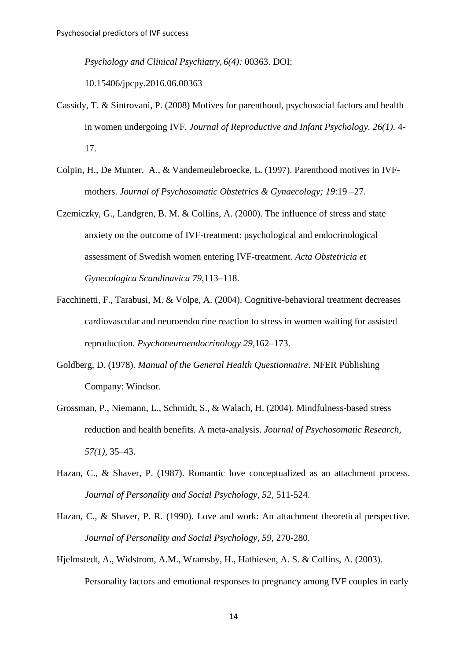*Psychology and Clinical Psychiatry, 6(4):* 00363. DOI:

10.15406/jpcpy.2016.06.00363

- Cassidy, T. & Sintrovani, P. (2008) Motives for parenthood, psychosocial factors and health in women undergoing IVF. *Journal of Reproductive and Infant Psychology. 26(1).* 4- 17.
- Colpin, H., De Munter, A., & Vandemeulebroecke, L. (1997). Parenthood motives in IVFmothers. *Journal of Psychosomatic Obstetrics & Gynaecology; 19*:19 –27.
- Czemiczky, G., Landgren, B. M. & Collins, A. (2000). The influence of stress and state anxiety on the outcome of IVF-treatment: psychological and endocrinological assessment of Swedish women entering IVF-treatment. *Acta Obstetricia et Gynecologica Scandinavica 79*,113–118.
- Facchinetti, F., Tarabusi, M. & Volpe, A. (2004). Cognitive-behavioral treatment decreases cardiovascular and neuroendocrine reaction to stress in women waiting for assisted reproduction. *Psychoneuroendocrinology 29*,162–173.
- Goldberg, D. (1978). *Manual of the General Health Questionnaire*. NFER Publishing Company: Windsor.
- Grossman, P., Niemann, L., Schmidt, S., & Walach, H. (2004). Mindfulness-based stress reduction and health benefits. A meta-analysis. *Journal of Psychosomatic Research, 57(1),* 35–43.
- Hazan, C., & Shaver, P. (1987). Romantic love conceptualized as an attachment process. *Journal of Personality and Social Psychology, 52*, 511-524.
- Hazan, C., & Shaver, P. R. (1990). Love and work: An attachment theoretical perspective. *Journal of Personality and Social Psychology, 59,* 270-280.
- Hjelmstedt, A., Widstrom, A.M., Wramsby, H., Hathiesen, A. S. & Collins, A. (2003). Personality factors and emotional responses to pregnancy among IVF couples in early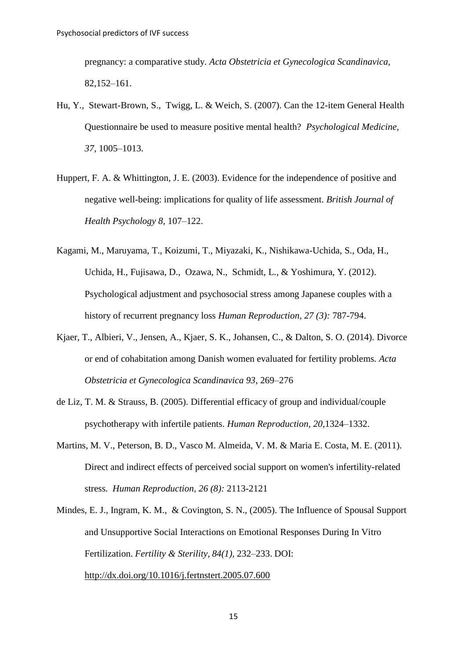pregnancy: a comparative study. *Acta Obstetricia et Gynecologica Scandinavica,*  82,152–161.

- Hu, Y., Stewart-Brown, S., Twigg, L. & Weich, S. (2007). Can the 12-item General Health Questionnaire be used to measure positive mental health? *Psychological Medicine, 37,* 1005–1013.
- Huppert, F. A. & Whittington, J. E. (2003). Evidence for the independence of positive and negative well-being: implications for quality of life assessment. *British Journal of Health Psychology 8,* 107–122.
- Kagami, M., Maruyama, T., Koizumi, T., Miyazaki, K., Nishikawa-Uchida, S., Oda, H., Uchida, H., Fujisawa, D., Ozawa, N., Schmidt, L., & Yoshimura, Y. (2012). Psychological adjustment and psychosocial stress among Japanese couples with a history of recurrent pregnancy loss *Human Reproduction, 27 (3):* 787-794.
- Kjaer, T., Albieri, V., Jensen, A., Kjaer, S. K., Johansen, C., & Dalton, S. O. (2014). Divorce or end of cohabitation among Danish women evaluated for fertility problems*. Acta Obstetricia et Gynecologica Scandinavica 93*, 269–276
- de Liz, T. M. & Strauss, B. (2005). Differential efficacy of group and individual/couple psychotherapy with infertile patients. *Human Reproduction, 20*,1324–1332.
- Martins, M. V., Peterson, B. D., Vasco M. Almeida, V. M. & Maria E. Costa, M. E. (2011). Direct and indirect effects of perceived social support on women's infertility-related stress. *Human Reproduction, 26 (8):* 2113-2121
- Mindes, E. J., Ingram, K. M., & Covington, S. N., (2005). The Influence of Spousal Support and Unsupportive Social Interactions on Emotional Responses During In Vitro Fertilization. *Fertility & Sterility, 84(1),* 232–233. DOI: <http://dx.doi.org/10.1016/j.fertnstert.2005.07.600>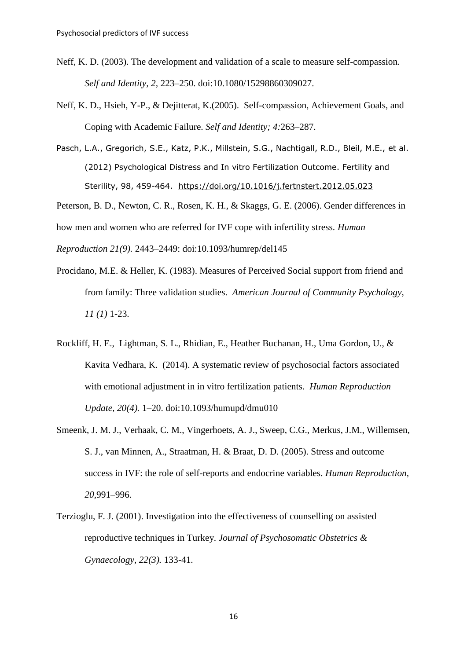- Neff, K. D. (2003). The development and validation of a scale to measure self-compassion. *Self and Identity, 2,* 223–250. doi:10.1080/15298860309027.
- Neff, K. D., Hsieh, Y-P., & Dejitterat, K.(2005). Self-compassion, Achievement Goals, and Coping with Academic Failure. *Self and Identity; 4:*263–287.
- Pasch, L.A., Gregorich, S.E., Katz, P.K., Millstein, S.G., Nachtigall, R.D., Bleil, M.E., et al. (2012) Psychological Distress and In vitro Fertilization Outcome. Fertility and Sterility, 98, 459-464. <https://doi.org/10.1016/j.fertnstert.2012.05.023>

Peterson, B. D., Newton, C. R., Rosen, K. H., & Skaggs, G. E. (2006). Gender differences in how men and women who are referred for IVF cope with infertility stress. *Human* 

*Reproduction 21(9).* 2443–2449: doi:10.1093/humrep/del145

Procidano, M.E. & Heller, K. (1983). Measures of Perceived Social support from friend and

- from family: Three validation studies. *American Journal of Community Psychology*, *11 (1)* 1-23.
- Rockliff, H. E., Lightman, S. L., Rhidian, E., Heather Buchanan, H., Uma Gordon, U., & Kavita Vedhara, K. (2014). A systematic review of psychosocial factors associated with emotional adjustment in in vitro fertilization patients. *Human Reproduction Update, 20(4).* 1–20. doi:10.1093/humupd/dmu010
- Smeenk, J. M. J., Verhaak, C. M., Vingerhoets, A. J., Sweep, C.G., Merkus, J.M., Willemsen, S. J., van Minnen, A., Straatman, H. & Braat, D. D. (2005). Stress and outcome success in IVF: the role of self-reports and endocrine variables. *Human Reproduction, 20,*991–996.
- Terzioglu, F. J. (2001). Investigation into the effectiveness of counselling on assisted reproductive techniques in Turkey*. Journal of Psychosomatic Obstetrics & Gynaecology, 22(3).* 133-41.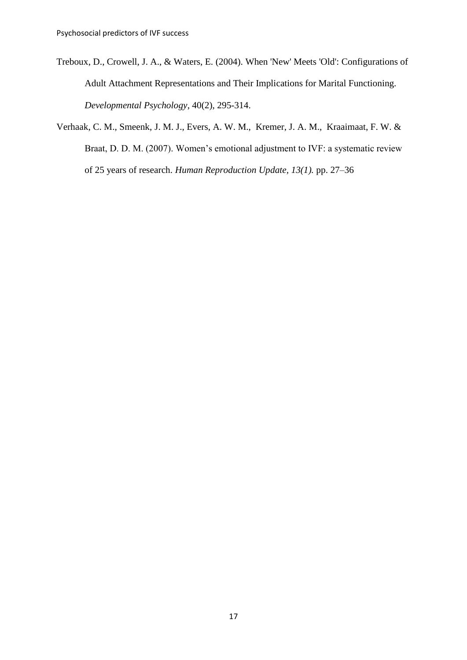- Treboux, D., Crowell, J. A., & Waters, E. (2004). When 'New' Meets 'Old': Configurations of Adult Attachment Representations and Their Implications for Marital Functioning. *Developmental Psychology*, 40(2), 295-314.
- Verhaak, C. M., Smeenk, J. M. J., Evers, A. W. M., Kremer, J. A. M., Kraaimaat, F. W. & Braat, D. D. M. (2007). Women's emotional adjustment to IVF: a systematic review of 25 years of research. *Human Reproduction Update, 13(1).* pp. 27–36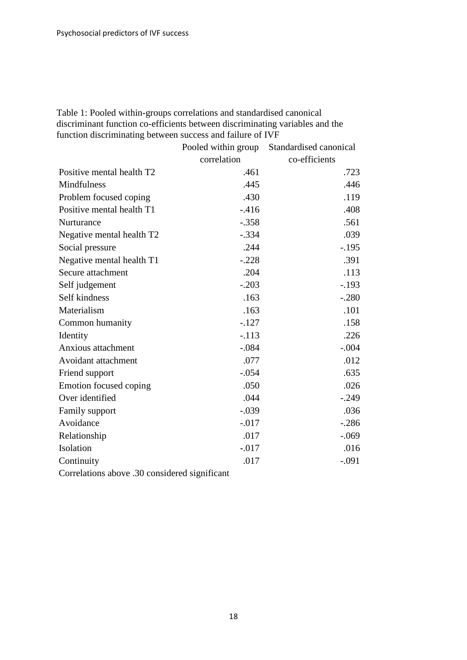Table 1: Pooled within-groups correlations and standardised canonical discriminant function co-efficients between discriminating variables and the function discriminating between success and failure of IVF

|                                               | Pooled within group | Standardised canonical |
|-----------------------------------------------|---------------------|------------------------|
|                                               | correlation         | co-efficients          |
| Positive mental health T2                     | .461                | .723                   |
| Mindfulness                                   | .445                | .446                   |
| Problem focused coping                        | .430                | .119                   |
| Positive mental health T1                     | $-416$              | .408                   |
| Nurturance                                    | $-.358$             | .561                   |
| Negative mental health T2                     | $-.334$             | .039                   |
| Social pressure                               | .244                | $-.195$                |
| Negative mental health T1                     | $-.228$             | .391                   |
| Secure attachment                             | .204                | .113                   |
| Self judgement                                | $-.203$             | $-.193$                |
| Self kindness                                 | .163                | $-.280$                |
| Materialism                                   | .163                | .101                   |
| Common humanity                               | $-.127$             | .158                   |
| Identity                                      | $-.113$             | .226                   |
| Anxious attachment                            | $-.084$             | $-.004$                |
| Avoidant attachment                           | .077                | .012                   |
| Friend support                                | $-.054$             | .635                   |
| Emotion focused coping                        | .050                | .026                   |
| Over identified                               | .044                | $-.249$                |
| Family support                                | $-.039$             | .036                   |
| Avoidance                                     | $-0.017$            | $-.286$                |
| Relationship                                  | .017                | $-.069$                |
| Isolation                                     | $-0.017$            | .016                   |
| Continuity                                    | .017                | $-.091$                |
| Correlations above .30 considered significant |                     |                        |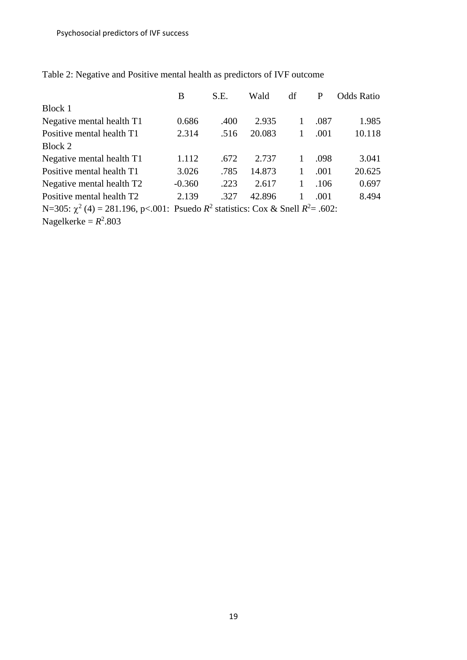|                                                                                           | В        | S.E. | Wald   | df           | P    | <b>Odds Ratio</b> |
|-------------------------------------------------------------------------------------------|----------|------|--------|--------------|------|-------------------|
| Block 1                                                                                   |          |      |        |              |      |                   |
| Negative mental health T1                                                                 | 0.686    | .400 | 2.935  | $\mathbf{1}$ | .087 | 1.985             |
| Positive mental health T1                                                                 | 2.314    | .516 | 20.083 |              | .001 | 10.118            |
| Block 2                                                                                   |          |      |        |              |      |                   |
| Negative mental health T1                                                                 | 1.112    | .672 | 2.737  | 1            | .098 | 3.041             |
| Positive mental health T1                                                                 | 3.026    | .785 | 14.873 | 1            | .001 | 20.625            |
| Negative mental health T2                                                                 | $-0.360$ | .223 | 2.617  | 1            | .106 | 0.697             |
| Positive mental health T2                                                                 | 2.139    | .327 | 42.896 |              | .001 | 8.494             |
| N=305: $\chi^2$ (4) = 281.196, p<.001: Psuedo $R^2$ statistics: Cox & Snell $R^2$ = .602: |          |      |        |              |      |                   |

Table 2: Negative and Positive mental health as predictors of IVF outcome

Nagelkerke =  $R^2$ .803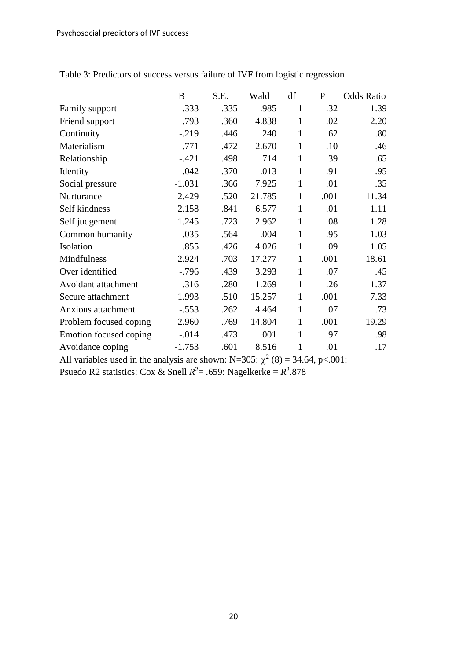|                        | B        | S.E. | Wald   | df           | P    | <b>Odds Ratio</b> |
|------------------------|----------|------|--------|--------------|------|-------------------|
| Family support         | .333     | .335 | .985   | $\mathbf{1}$ | .32  | 1.39              |
| Friend support         | .793     | .360 | 4.838  | 1            | .02  | 2.20              |
| Continuity             | $-0.219$ | .446 | .240   | $\mathbf{1}$ | .62  | .80               |
| Materialism            | $-.771$  | .472 | 2.670  | 1            | .10  | .46               |
| Relationship           | $-.421$  | .498 | .714   | $\mathbf{1}$ | .39  | .65               |
| Identity               | $-.042$  | .370 | .013   | 1            | .91  | .95               |
| Social pressure        | $-1.031$ | .366 | 7.925  | $\mathbf{1}$ | .01  | .35               |
| Nurturance             | 2.429    | .520 | 21.785 | $\mathbf{1}$ | .001 | 11.34             |
| Self kindness          | 2.158    | .841 | 6.577  | $\mathbf{1}$ | .01  | 1.11              |
| Self judgement         | 1.245    | .723 | 2.962  | $\mathbf{1}$ | .08  | 1.28              |
| Common humanity        | .035     | .564 | .004   | $\mathbf{1}$ | .95  | 1.03              |
| Isolation              | .855     | .426 | 4.026  | $\mathbf{1}$ | .09  | 1.05              |
| Mindfulness            | 2.924    | .703 | 17.277 | $\mathbf{1}$ | .001 | 18.61             |
| Over identified        | $-0.796$ | .439 | 3.293  | $\mathbf{1}$ | .07  | .45               |
| Avoidant attachment    | .316     | .280 | 1.269  | $\mathbf{1}$ | .26  | 1.37              |
| Secure attachment      | 1.993    | .510 | 15.257 | $\mathbf{1}$ | .001 | 7.33              |
| Anxious attachment     | $-.553$  | .262 | 4.464  | $\mathbf{1}$ | .07  | .73               |
| Problem focused coping | 2.960    | .769 | 14.804 | $\mathbf{1}$ | .001 | 19.29             |
| Emotion focused coping | $-.014$  | .473 | .001   | 1            | .97  | .98               |
| Avoidance coping       | $-1.753$ | .601 | 8.516  | $\mathbf{1}$ | .01  | .17               |

Table 3: Predictors of success versus failure of IVF from logistic regression

All variables used in the analysis are shown: N=305:  $\chi^2$  (8) = 34.64, p<.001:

Psuedo R2 statistics: Cox & Snell  $R^2 = .659$ : Nagelkerke =  $R^2.878$